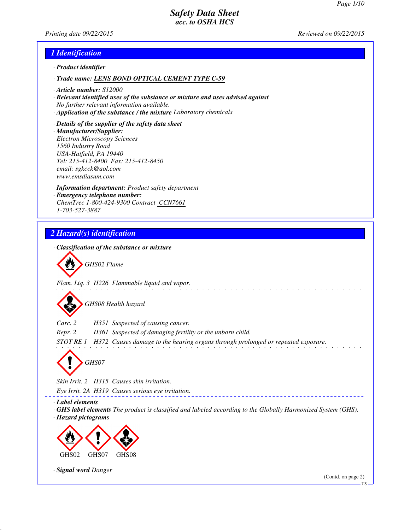*Printing date 09/22/2015 Reviewed on 09/22/2015*

## *1 Identification*

- *· Product identifier*
- *· Trade name: LENS BOND OPTICAL CEMENT TYPE C-59*
- *· Article number: S12000*
- *· Relevant identified uses of the substance or mixture and uses advised against No further relevant information available.*
- *· Application of the substance / the mixture Laboratory chemicals*
- *· Details of the supplier of the safety data sheet · Manufacturer/Supplier: Electron Microscopy Sciences 1560 Industry Road USA-Hatfield, PA 19440 Tel: 215-412-8400 Fax: 215-412-8450 email: sgkcck@aol.com www.emsdiasum.com*
- *· Information department: Product safety department · Emergency telephone number: ChemTrec 1-800-424-9300 Contract CCN7661 1-703-527-3887*

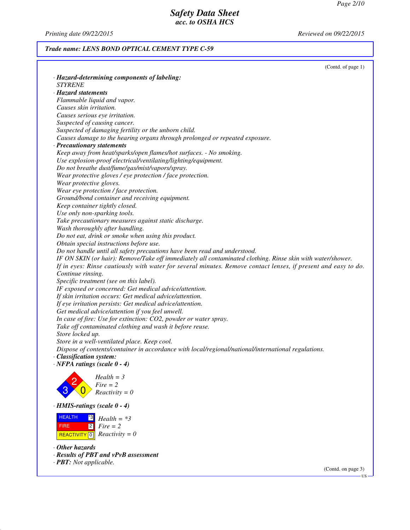*Printing date 09/22/2015 Reviewed on 09/22/2015*

# *Trade name: LENS BOND OPTICAL CEMENT TYPE C-59*

|                                                                                                                | (Contd. of page 1) |
|----------------------------------------------------------------------------------------------------------------|--------------------|
| · Hazard-determining components of labeling:                                                                   |                    |
| <b>STYRENE</b>                                                                                                 |                    |
| · Hazard statements                                                                                            |                    |
| Flammable liquid and vapor.                                                                                    |                    |
| Causes skin irritation.                                                                                        |                    |
| Causes serious eye irritation.                                                                                 |                    |
| Suspected of causing cancer.                                                                                   |                    |
| Suspected of damaging fertility or the unborn child.                                                           |                    |
| Causes damage to the hearing organs through prolonged or repeated exposure.                                    |                    |
| · Precautionary statements                                                                                     |                    |
| Keep away from heat/sparks/open flames/hot surfaces. - No smoking.                                             |                    |
| Use explosion-proof electrical/ventilating/lighting/equipment.                                                 |                    |
| Do not breathe dust/fume/gas/mist/vapors/spray.                                                                |                    |
| Wear protective gloves / eye protection / face protection.                                                     |                    |
| Wear protective gloves.                                                                                        |                    |
| Wear eye protection / face protection.                                                                         |                    |
| Ground/bond container and receiving equipment.                                                                 |                    |
| Keep container tightly closed.                                                                                 |                    |
| Use only non-sparking tools.                                                                                   |                    |
| Take precautionary measures against static discharge.                                                          |                    |
| Wash thoroughly after handling.                                                                                |                    |
| Do not eat, drink or smoke when using this product.                                                            |                    |
| Obtain special instructions before use.                                                                        |                    |
| Do not handle until all safety precautions have been read and understood.                                      |                    |
| IF ON SKIN (or hair): Remove/Take off immediately all contaminated clothing. Rinse skin with water/shower.     |                    |
| If in eyes: Rinse cautiously with water for several minutes. Remove contact lenses, if present and easy to do. |                    |
| Continue rinsing.                                                                                              |                    |
| Specific treatment (see on this label).                                                                        |                    |
| IF exposed or concerned: Get medical advice/attention.                                                         |                    |
| If skin irritation occurs: Get medical advice/attention.                                                       |                    |
| If eye irritation persists: Get medical advice/attention.                                                      |                    |
| Get medical advice/attention if you feel unwell.                                                               |                    |
| In case of fire: Use for extinction: CO2, powder or water spray.                                               |                    |
| Take off contaminated clothing and wash it before reuse.                                                       |                    |
| Store locked up.                                                                                               |                    |
| Store in a well-ventilated place. Keep cool.                                                                   |                    |
| Dispose of contents/container in accordance with local/regional/national/international regulations.            |                    |
| · Classification system:                                                                                       |                    |
| $\cdot$ NFPA ratings (scale $0 - 4$ )                                                                          |                    |
| $Health = 3$                                                                                                   |                    |
| $Fire = 2$                                                                                                     |                    |
| $Reactivity = 0$                                                                                               |                    |
|                                                                                                                |                    |
| $\cdot$ HMIS-ratings (scale 0 - 4)                                                                             |                    |
| <b>HEALTH</b><br>*3 <mark> </mark><br>$Health = *3$                                                            |                    |
| 2 <br>$Fire = 2$<br><b>FIRE</b>                                                                                |                    |
| $Reactivity = 0$<br><b>REACTIVITY</b> 0                                                                        |                    |
|                                                                                                                |                    |
| $\cdot$ Other hazards                                                                                          |                    |
| · Results of PBT and vPvB assessment                                                                           |                    |
| · <b>PBT</b> : Not applicable.                                                                                 |                    |

(Contd. on page 3)

US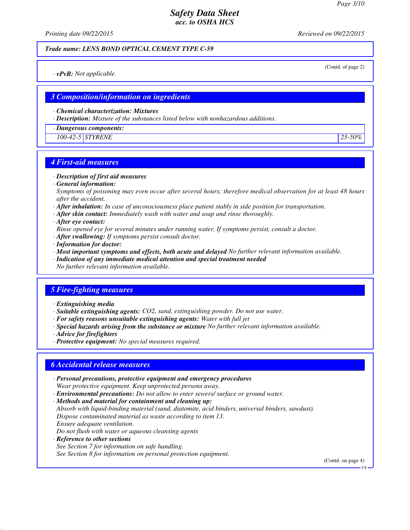(Contd. of page 2)

## *Safety Data Sheet acc. to OSHA HCS*

*Printing date 09/22/2015 Reviewed on 09/22/2015*

#### *Trade name: LENS BOND OPTICAL CEMENT TYPE C-59*

## *3 Composition/information on ingredients*

*· Chemical characterization: Mixtures*

*· Description: Mixture of the substances listed below with nonhazardous additions.*

*· Dangerous components:*

*100-42-5 STYRENE 25-50%*

*· vPvB: Not applicable.*

## *4 First-aid measures*

- *· Description of first aid measures*
- *· General information:*

*Symptoms of poisoning may even occur after several hours; therefore medical observation for at least 48 hours after the accident.*

- *· After inhalation: In case of unconsciousness place patient stably in side position for transportation.*
- *· After skin contact: Immediately wash with water and soap and rinse thoroughly.*
- *· After eye contact:*
- *Rinse opened eye for several minutes under running water. If symptoms persist, consult a doctor.*
- *· After swallowing: If symptoms persist consult doctor.*
- *· Information for doctor:*
- *· Most important symptoms and effects, both acute and delayed No further relevant information available.*
- *· Indication of any immediate medical attention and special treatment needed*
- *No further relevant information available.*

## *5 Fire-fighting measures*

- *· Extinguishing media*
- *· Suitable extinguishing agents: CO2, sand, extinguishing powder. Do not use water.*
- *· For safety reasons unsuitable extinguishing agents: Water with full jet*
- *· Special hazards arising from the substance or mixture No further relevant information available.*
- *· Advice for firefighters*
- *· Protective equipment: No special measures required.*

#### *6 Accidental release measures*

- *· Personal precautions, protective equipment and emergency procedures Wear protective equipment. Keep unprotected persons away.*
- *· Environmental precautions: Do not allow to enter sewers/ surface or ground water.*

*· Methods and material for containment and cleaning up:*

*Absorb with liquid-binding material (sand, diatomite, acid binders, universal binders, sawdust). Dispose contaminated material as waste according to item 13. Ensure adequate ventilation.*

*Do not flush with water or aqueous cleansing agents*

*· Reference to other sections*

*See Section 7 for information on safe handling.*

*See Section 8 for information on personal protection equipment.*

(Contd. on page 4)

**HS**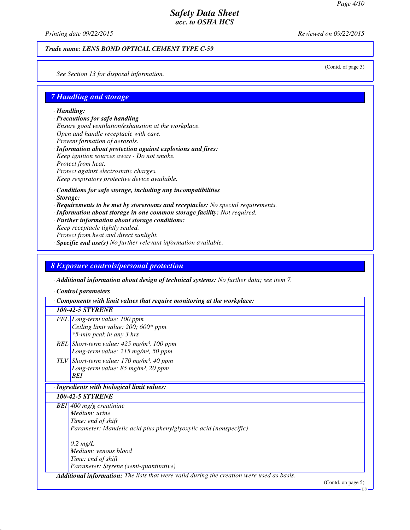*Printing date 09/22/2015 Reviewed on 09/22/2015*

#### *Trade name: LENS BOND OPTICAL CEMENT TYPE C-59*

(Contd. of page 3)

*See Section 13 for disposal information.*

## *7 Handling and storage*

*· Handling:*

- *· Precautions for safe handling Ensure good ventilation/exhaustion at the workplace. Open and handle receptacle with care. Prevent formation of aerosols. · Information about protection against explosions and fires:*
- *Keep ignition sources away Do not smoke. Protect from heat. Protect against electrostatic charges. Keep respiratory protective device available.*
- *· Conditions for safe storage, including any incompatibilities*
- *· Storage:*
- *· Requirements to be met by storerooms and receptacles: No special requirements.*
- *· Information about storage in one common storage facility: Not required.*
- *· Further information about storage conditions:*
- *Keep receptacle tightly sealed. Protect from heat and direct sunlight. · Specific end use(s) No further relevant information available.*

## *8 Exposure controls/personal protection*

*· Additional information about design of technical systems: No further data; see item 7.*

*· Control parameters*

*· Components with limit values that require monitoring at the workplace:*

#### *100-42-5 STYRENE*

- *PEL Long-term value: 100 ppm Ceiling limit value: 200; 600\* ppm \*5-min peak in any 3 hrs*
- *REL Short-term value: 425 mg/m³, 100 ppm Long-term value: 215 mg/m³, 50 ppm*
- *TLV Short-term value: 170 mg/m³, 40 ppm Long-term value: 85 mg/m³, 20 ppm BEI*

#### *· Ingredients with biological limit values:*

*100-42-5 STYRENE*

*BEI 400 mg/g creatinine Medium: urine Time: end of shift Parameter: Mandelic acid plus phenylglyoxylic acid (nonspecific) 0.2 mg/L Medium: venous blood*

*Time: end of shift Parameter: Styrene (semi-quantitative)*

*· Additional information: The lists that were valid during the creation were used as basis.*

(Contd. on page 5)

US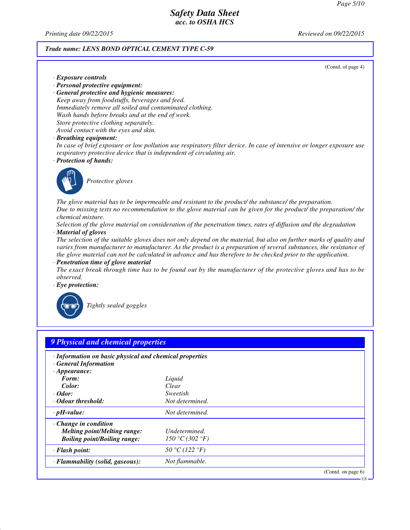*Printing date 09/22/2015 Reviewed on 09/22/2015*

#### *Trade name: LENS BOND OPTICAL CEMENT TYPE C-59*

(Contd. of page 4)

US

- *· Exposure controls*
- *· Personal protective equipment:*

*· General protective and hygienic measures: Keep away from foodstuffs, beverages and feed. Immediately remove all soiled and contaminated clothing. Wash hands before breaks and at the end of work. Store protective clothing separately. Avoid contact with the eyes and skin.*

*· Breathing equipment:*

*In case of brief exposure or low pollution use respiratory filter device. In case of intensive or longer exposure use respiratory protective device that is independent of circulating air.*

*· Protection of hands:*



*Protective gloves*

*The glove material has to be impermeable and resistant to the product/ the substance/ the preparation. Due to missing tests no recommendation to the glove material can be given for the product/ the preparation/ the chemical mixture.*

*Selection of the glove material on consideration of the penetration times, rates of diffusion and the degradation · Material of gloves*

*The selection of the suitable gloves does not only depend on the material, but also on further marks of quality and varies from manufacturer to manufacturer. As the product is a preparation of several substances, the resistance of the glove material can not be calculated in advance and has therefore to be checked prior to the application.*

*· Penetration time of glove material*

*The exact break through time has to be found out by the manufacturer of the protective gloves and has to be observed.*

*· Eye protection:*



*Tightly sealed goggles*

| · Information on basic physical and chemical properties<br><b>General Information</b><br>$\cdot$ Appearance: |                                  |  |
|--------------------------------------------------------------------------------------------------------------|----------------------------------|--|
| Form:                                                                                                        | Liquid                           |  |
| Color:                                                                                                       | Clear                            |  |
| $\cdot$ Odor:                                                                                                | Sweetish                         |  |
| Odour threshold:                                                                                             | Not determined.                  |  |
| $\cdot$ pH-value:                                                                                            | Not determined.                  |  |
| $\cdot$ Change in condition<br><b>Melting point/Melting range:</b><br><b>Boiling point/Boiling range:</b>    | Undetermined.<br>150 °C (302 °F) |  |
| · Flash point:                                                                                               | 50 °C (122 °F)                   |  |
| · Flammability (solid, gaseous):                                                                             | Not flammable.                   |  |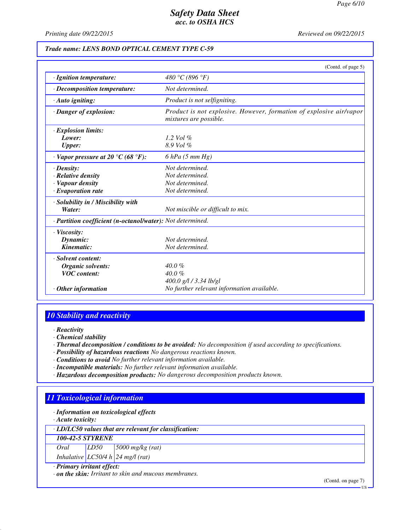*Printing date 09/22/2015 Reviewed on 09/22/2015*

#### *Trade name: LENS BOND OPTICAL CEMENT TYPE C-59*

|                                                            | (Contd. of page 5)                                                                            |
|------------------------------------------------------------|-----------------------------------------------------------------------------------------------|
| · Ignition temperature:                                    | 480 °C (896 °F)                                                                               |
| $\cdot$ Decomposition temperature:                         | Not determined.                                                                               |
| $\cdot$ Auto igniting:                                     | Product is not selfigniting.                                                                  |
| · Danger of explosion:                                     | Product is not explosive. However, formation of explosive air/vapor<br>mixtures are possible. |
| · Explosion limits:                                        |                                                                                               |
| Lower:                                                     | 1.2 Vol $\%$                                                                                  |
| <b>Upper:</b>                                              | $8.9$ Vol $\%$                                                                                |
| $\cdot$ Vapor pressure at 20 °C (68 °F):                   | $6$ hPa $(5$ mm Hg)                                                                           |
| $\cdot$ Density:                                           | Not determined.                                                                               |
| $\cdot$ Relative density                                   | Not determined.                                                                               |
| · Vapour density                                           | Not determined.                                                                               |
| $\cdot$ Evaporation rate                                   | Not determined.                                                                               |
| · Solubility in / Miscibility with                         |                                                                                               |
| Water:                                                     | Not miscible or difficult to mix.                                                             |
| · Partition coefficient (n-octanol/water): Not determined. |                                                                                               |
| · Viscosity:                                               |                                                                                               |
| Dynamic:                                                   | Not determined.                                                                               |
| Kinematic:                                                 | Not determined.                                                                               |
| · Solvent content:                                         |                                                                                               |
| <b>Organic solvents:</b>                                   | $40.0\%$                                                                                      |
| <b>VOC</b> content:                                        | $40.0 \%$                                                                                     |
|                                                            | $400.0$ g/l / 3.34 lb/gl                                                                      |
| $\cdot$ Other information                                  | No further relevant information available.                                                    |

## *10 Stability and reactivity*

- *· Reactivity*
- *· Chemical stability*
- *· Thermal decomposition / conditions to be avoided: No decomposition if used according to specifications.*
- *· Possibility of hazardous reactions No dangerous reactions known.*
- *· Conditions to avoid No further relevant information available.*
- *· Incompatible materials: No further relevant information available.*
- *· Hazardous decomposition products: No dangerous decomposition products known.*

# *11 Toxicological information*

*· Information on toxicological effects*

*· Acute toxicity:*

*· LD/LC50 values that are relevant for classification:*

*100-42-5 STYRENE*

| Oral | LD50 | $\frac{5000}{\text{mg/kg}}$ (rat) |
|------|------|-----------------------------------|
|      |      |                                   |

*Inhalative LC50/4 h 24 mg/l (rat)*

## *· Primary irritant effect:*

*· on the skin: Irritant to skin and mucous membranes.*

(Contd. on page 7)

US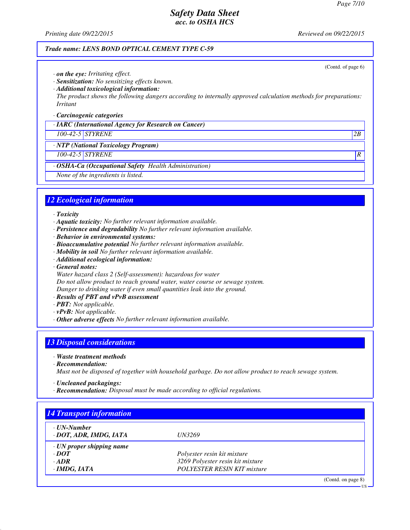(Contd. of page 6)

US

# *Safety Data Sheet acc. to OSHA HCS*

*Printing date 09/22/2015 Reviewed on 09/22/2015*

### *Trade name: LENS BOND OPTICAL CEMENT TYPE C-59*

- *· on the eye: Irritating effect.*
- *· Sensitization: No sensitizing effects known.*
- *· Additional toxicological information:*
- *The product shows the following dangers according to internally approved calculation methods for preparations: Irritant*

#### *· Carcinogenic categories*

*· IARC (International Agency for Research on Cancer)*

### *100-42-5 STYRENE 2B*

*· NTP (National Toxicology Program)*

# *100-42-5 STYRENE R*

- *· OSHA-Ca (Occupational Safety Health Administration)*
- *None of the ingredients is listed.*

## *12 Ecological information*

#### *· Toxicity*

- *· Aquatic toxicity: No further relevant information available.*
- *· Persistence and degradability No further relevant information available.*
- *· Behavior in environmental systems:*
- *· Bioaccumulative potential No further relevant information available.*
- *· Mobility in soil No further relevant information available.*
- *· Additional ecological information:*
- *· General notes:*
- *Water hazard class 2 (Self-assessment): hazardous for water*

*Do not allow product to reach ground water, water course or sewage system.*

*Danger to drinking water if even small quantities leak into the ground.*

- *· Results of PBT and vPvB assessment*
- *· PBT: Not applicable.*
- *· vPvB: Not applicable.*
- *· Other adverse effects No further relevant information available.*

# *13 Disposal considerations*

- *· Waste treatment methods*
- *· Recommendation:*

*Must not be disposed of together with household garbage. Do not allow product to reach sewage system.*

- *· Uncleaned packagings:*
- *· Recommendation: Disposal must be made according to official regulations.*

| · UN-Number                     |                                    |  |
|---------------------------------|------------------------------------|--|
| · DOT, ADR, IMDG, IATA          | <i>UN3269</i>                      |  |
| $\cdot$ UN proper shipping name |                                    |  |
| $\cdot$ DOT                     | Polyester resin kit mixture        |  |
| $\cdot$ ADR                     | 3269 Polyester resin kit mixture   |  |
| $\cdot$ IMDG, IATA              | <b>POLYESTER RESIN KIT mixture</b> |  |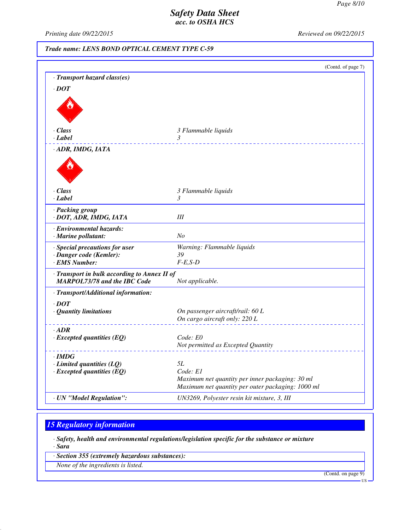*Printing date 09/22/2015 Reviewed on 09/22/2015*

*Trade name: LENS BOND OPTICAL CEMENT TYPE C-59*

|                                                                                     | (Contd. of page 7)                                |
|-------------------------------------------------------------------------------------|---------------------------------------------------|
| · Transport hazard class(es)                                                        |                                                   |
| $\cdot$ DOT                                                                         |                                                   |
|                                                                                     |                                                   |
| $\cdot$ Class                                                                       | 3 Flammable liquids                               |
| · Label                                                                             | 3                                                 |
| · ADR, IMDG, IATA                                                                   |                                                   |
|                                                                                     |                                                   |
| · Class                                                                             | 3 Flammable liquids                               |
| · Label                                                                             | 3                                                 |
| · Packing group<br>· DOT, ADR, IMDG, IATA                                           | Ш                                                 |
| · Environmental hazards:<br>· Marine pollutant:                                     | No                                                |
| · Special precautions for user                                                      | Warning: Flammable liquids                        |
| · Danger code (Kemler):                                                             | 39                                                |
| · EMS Number:                                                                       | $F-E,S-D$                                         |
| · Transport in bulk according to Annex II of<br><b>MARPOL73/78 and the IBC Code</b> | Not applicable.                                   |
| · Transport/Additional information:                                                 |                                                   |
|                                                                                     |                                                   |
| $\cdot$ DOT<br>· Quantity limitations                                               | On passenger aircraft/rail: 60 L                  |
|                                                                                     | On cargo aircraft only: 220 L                     |
| $-ADR$                                                                              |                                                   |
| $\cdot$ Excepted quantities (EQ)                                                    | Code: E0                                          |
|                                                                                     | Not permitted as Excepted Quantity                |
| $\cdot$ IMDG                                                                        |                                                   |
| $\cdot$ Limited quantities (LQ)                                                     | 5L                                                |
| $\cdot$ Excepted quantities (EQ)                                                    | Code: E1                                          |
|                                                                                     | Maximum net quantity per inner packaging: 30 ml   |
|                                                                                     | Maximum net quantity per outer packaging: 1000 ml |
| · UN "Model Regulation":                                                            | UN3269, Polyester resin kit mixture, 3, III       |

# *15 Regulatory information*

*· Safety, health and environmental regulations/legislation specific for the substance or mixture*

*· Sara*

*· Section 355 (extremely hazardous substances):*

*None of the ingredients is listed.*

(Contd. on page 9)

US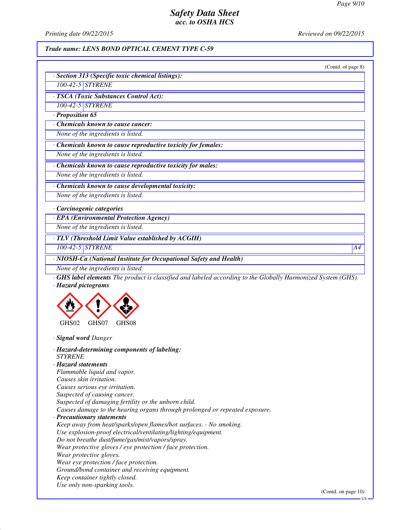*Printing date 09/22/2015 Reviewed on 09/22/2015*

#### *Trade name: LENS BOND OPTICAL CEMENT TYPE C-59*

|                                                                                                                                           | (Contd. of page 8) |
|-------------------------------------------------------------------------------------------------------------------------------------------|--------------------|
| · Section 313 (Specific toxic chemical listings):                                                                                         |                    |
| 100-42-5 STYRENE                                                                                                                          |                    |
| TSCA (Toxic Substances Control Act):                                                                                                      |                    |
| 100-42-5 STYRENE                                                                                                                          |                    |
| Proposition 65                                                                                                                            |                    |
| Chemicals known to cause cancer:                                                                                                          |                    |
| None of the ingredients is listed.                                                                                                        |                    |
| Chemicals known to cause reproductive toxicity for females:                                                                               |                    |
| None of the ingredients is listed.                                                                                                        |                    |
| Chemicals known to cause reproductive toxicity for males:                                                                                 |                    |
| None of the ingredients is listed.                                                                                                        |                    |
| Chemicals known to cause developmental toxicity:                                                                                          |                    |
| None of the ingredients is listed.                                                                                                        |                    |
| · Carcinogenic categories                                                                                                                 |                    |
| · EPA (Environmental Protection Agency)                                                                                                   |                    |
| None of the ingredients is listed.                                                                                                        |                    |
| · TLV (Threshold Limit Value established by ACGIH)                                                                                        |                    |
| 100-42-5 STYRENE                                                                                                                          | A4                 |
| · NIOSH-Ca (National Institute for Occupational Safety and Health)                                                                        |                    |
| None of the ingredients is listed.                                                                                                        |                    |
| <b>GHS label elements</b> The product is classified and labeled according to the Globally Harmonized System (GHS).<br>· Hazard pictograms |                    |
|                                                                                                                                           |                    |

*· Signal word Danger*

GHS02 GHS07 GHS08

*· Hazard-determining components of labeling: STYRENE · Hazard statements Flammable liquid and vapor. Causes skin irritation. Causes serious eye irritation. Suspected of causing cancer. Suspected of damaging fertility or the unborn child. Causes damage to the hearing organs through prolonged or repeated exposure. · Precautionary statements Keep away from heat/sparks/open flames/hot surfaces. - No smoking. Use explosion-proof electrical/ventilating/lighting/equipment. Do not breathe dust/fume/gas/mist/vapors/spray. Wear protective gloves / eye protection / face protection. Wear protective gloves. Wear eye protection / face protection. Ground/bond container and receiving equipment. Keep container tightly closed.*

*Use only non-sparking tools.*